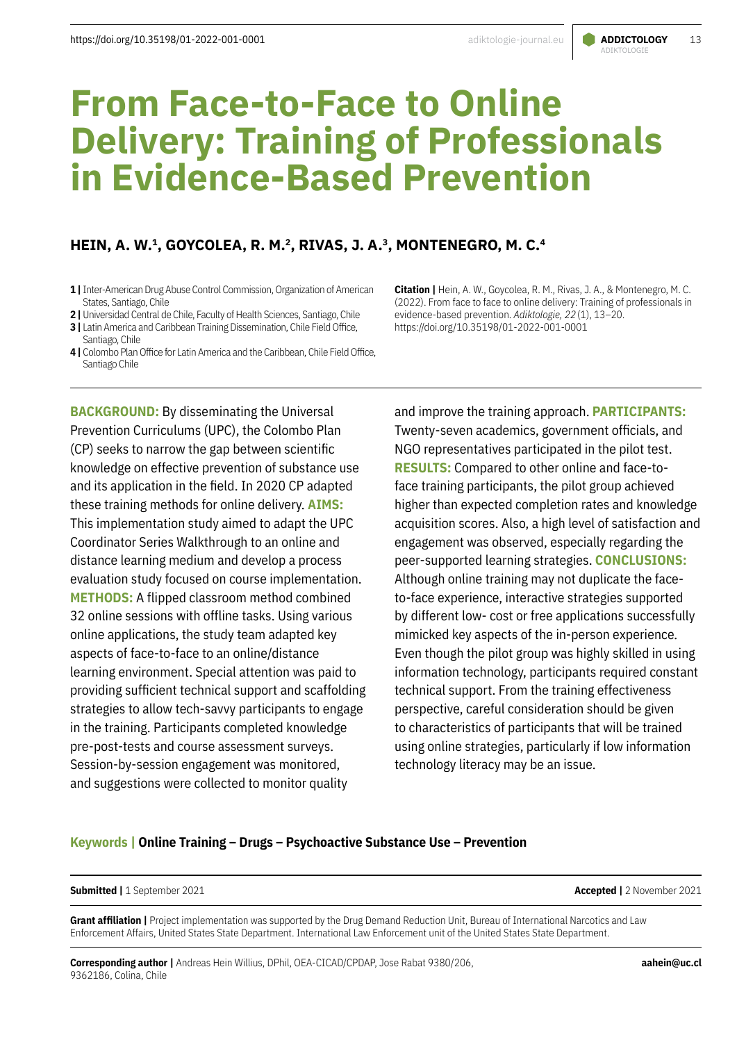# ADIKTOLOGIE

# **From Face-to-Face to Online Delivery: Training of Professionals in Evidence-Based Prevention**

## **HEIN, A. W.1, GOYCOLEA, R. M.2, RIVAS, J. A.3, MONTENEGRO, M. C.4**

- **1 |** Inter-American Drug Abuse Control Commission, Organization of American States, Santiago, Chile
- **2 |** Universidad Central de Chile, Faculty of Health Sciences, Santiago, Chile
- **3 |** Latin America and Caribbean Training Dissemination, Chile Field Office, Santiago, Chile
- **4 |** Colombo Plan Office for Latin America and the Caribbean, Chile Field Office, Santiago Chile

**BACKGROUND:** By disseminating the Universal Prevention Curriculums (UPC), the Colombo Plan (CP) seeks to narrow the gap between scientific knowledge on effective prevention of substance use and its application in the field. In 2020 CP adapted these training methods for online delivery. **AIMS:**  This implementation study aimed to adapt the UPC Coordinator Series Walkthrough to an online and distance learning medium and develop a process evaluation study focused on course implementation. **METHODS:** A flipped classroom method combined 32 online sessions with offline tasks. Using various online applications, the study team adapted key aspects of face-to-face to an online/distance learning environment. Special attention was paid to providing sufficient technical support and scaffolding strategies to allow tech-savvy participants to engage in the training. Participants completed knowledge pre-post-tests and course assessment surveys. Session-by-session engagement was monitored, and suggestions were collected to monitor quality

**Citation |** Hein, A. W., Goycolea, R. M., Rivas, J. A., & Montenegro, M. C. (2022). From face to face to online delivery: Training of professionals in evidence-based prevention. *Adiktologie, 22*(1), 13–20. https://doi.org/10.35198/01-2022-001-0001

and improve the training approach. **PARTICIPANTS:** Twenty-seven academics, government officials, and NGO representatives participated in the pilot test. **RESULTS:** Compared to other online and face-toface training participants, the pilot group achieved higher than expected completion rates and knowledge acquisition scores. Also, a high level of satisfaction and engagement was observed, especially regarding the peer-supported learning strategies. **CONCLUSIONS:** Although online training may not duplicate the faceto-face experience, interactive strategies supported by different low- cost or free applications successfully mimicked key aspects of the in-person experience. Even though the pilot group was highly skilled in using information technology, participants required constant technical support. From the training effectiveness perspective, careful consideration should be given to characteristics of participants that will be trained using online strategies, particularly if low information technology literacy may be an issue.

#### **Keywords | Online Training – Drugs – Psychoactive Substance Use – Prevention**

#### **Submitted |** 1 September 2021 **Accepted |** 2 November 2021

**Grant affiliation |** Project implementation was supported by the Drug Demand Reduction Unit, Bureau of International Narcotics and Law Enforcement Affairs, United States State Department. International Law Enforcement unit of the United States State Department.

**Corresponding author |** Andreas Hein Willius, DPhil, OEA-CICAD/CPDAP, Jose Rabat 9380/206, 9362186, Colina, Chile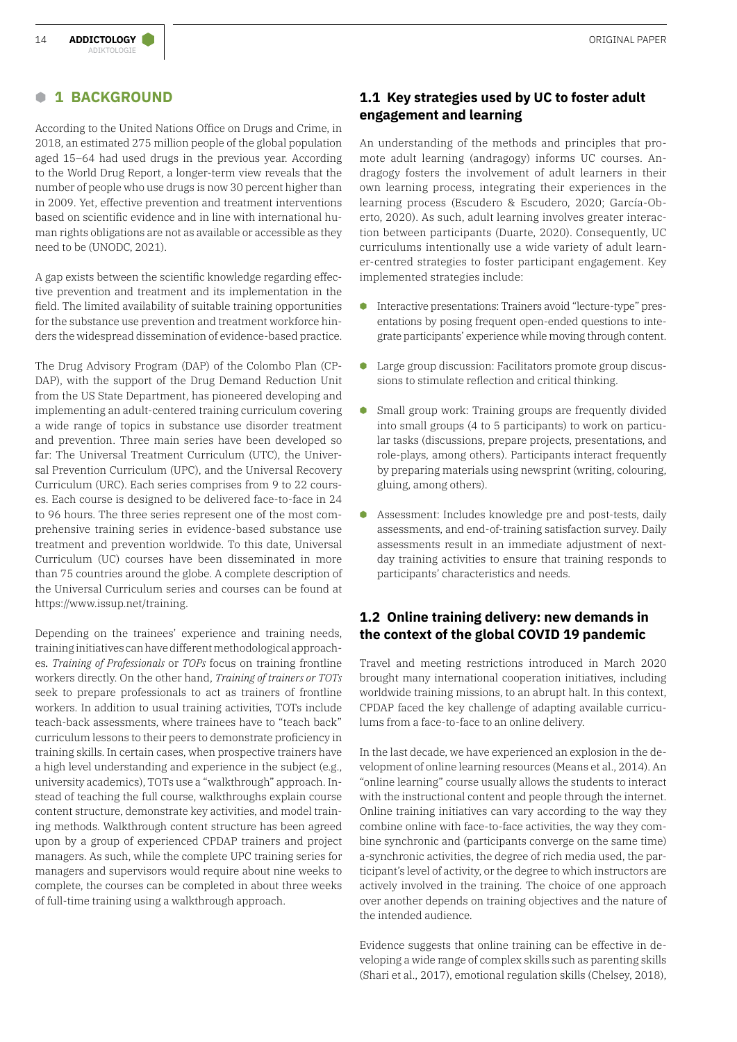## **B 1 BACKGROUND**

According to the United Nations Office on Drugs and Crime, in 2018, an estimated 275 million people of the global population aged 15–64 had used drugs in the previous year. According to the World Drug Report, a longer-term view reveals that the number of people who use drugs is now 30 percent higher than in 2009. Yet, effective prevention and treatment interventions based on scientific evidence and in line with international human rights obligations are not as available or accessible as they need to be (UNODC, 2021).

A gap exists between the scientific knowledge regarding effective prevention and treatment and its implementation in the field. The limited availability of suitable training opportunities for the substance use prevention and treatment workforce hinders the widespread dissemination of evidence-based practice.

The Drug Advisory Program (DAP) of the Colombo Plan (CP-DAP), with the support of the Drug Demand Reduction Unit from the US State Department, has pioneered developing and implementing an adult-centered training curriculum covering a wide range of topics in substance use disorder treatment and prevention. Three main series have been developed so far: The Universal Treatment Curriculum (UTC), the Universal Prevention Curriculum (UPC), and the Universal Recovery Curriculum (URC). Each series comprises from 9 to 22 courses. Each course is designed to be delivered face-to-face in 24 to 96 hours. The three series represent one of the most comprehensive training series in evidence-based substance use treatment and prevention worldwide. To this date, Universal Curriculum (UC) courses have been disseminated in more than 75 countries around the globe. A complete description of the Universal Curriculum series and courses can be found at [https://www.issup.net/training.](https://www.issup.net/training)

Depending on the trainees' experience and training needs, training initiatives can have different methodological approaches*. Training of Professionals* or *TOPs* focus on training frontline workers directly. On the other hand, *Training of trainers or TOTs* seek to prepare professionals to act as trainers of frontline workers. In addition to usual training activities, TOTs include teach-back assessments, where trainees have to "teach back" curriculum lessons to their peers to demonstrate proficiency in training skills. In certain cases, when prospective trainers have a high level understanding and experience in the subject (e.g., university academics), TOTs use a "walkthrough" approach. Instead of teaching the full course, walkthroughs explain course content structure, demonstrate key activities, and model training methods. Walkthrough content structure has been agreed upon by a group of experienced CPDAP trainers and project managers. As such, while the complete UPC training series for managers and supervisors would require about nine weeks to complete, the courses can be completed in about three weeks of full-time training using a walkthrough approach.

## **1.1 Key strategies used by UC to foster adult engagement and learning**

An understanding of the methods and principles that promote adult learning (andragogy) informs UC courses. Andragogy fosters the involvement of adult learners in their own learning process, integrating their experiences in the learning process (Escudero & Escudero, 2020; García-Oberto, 2020). As such, adult learning involves greater interaction between participants (Duarte, 2020). Consequently, UC curriculums intentionally use a wide variety of adult learner-centred strategies to foster participant engagement. Key implemented strategies include:

- **•** Interactive presentations: Trainers avoid "lecture-type" presentations by posing frequent open-ended questions to integrate participants' experience while moving through content.
- **C** Large group discussion: Facilitators promote group discussions to stimulate reflection and critical thinking.
- **B** Small group work: Training groups are frequently divided into small groups (4 to 5 participants) to work on particular tasks (discussions, prepare projects, presentations, and role-plays, among others). Participants interact frequently by preparing materials using newsprint (writing, colouring, gluing, among others).
- **B** Assessment: Includes knowledge pre and post-tests, daily assessments, and end-of-training satisfaction survey. Daily assessments result in an immediate adjustment of nextday training activities to ensure that training responds to participants' characteristics and needs.

## **1.2 Online training delivery: new demands in the context of the global COVID 19 pandemic**

Travel and meeting restrictions introduced in March 2020 brought many international cooperation initiatives, including worldwide training missions, to an abrupt halt. In this context, CPDAP faced the key challenge of adapting available curriculums from a face-to-face to an online delivery.

In the last decade, we have experienced an explosion in the development of online learning resources (Means et al., 2014). An "online learning" course usually allows the students to interact with the instructional content and people through the internet. Online training initiatives can vary according to the way they combine online with face-to-face activities, the way they combine synchronic and (participants converge on the same time) a-synchronic activities, the degree of rich media used, the participant's level of activity, or the degree to which instructors are actively involved in the training. The choice of one approach over another depends on training objectives and the nature of the intended audience.

Evidence suggests that online training can be effective in developing a wide range of complex skills such as parenting skills (Shari et al., 2017), emotional regulation skills (Chelsey, 2018),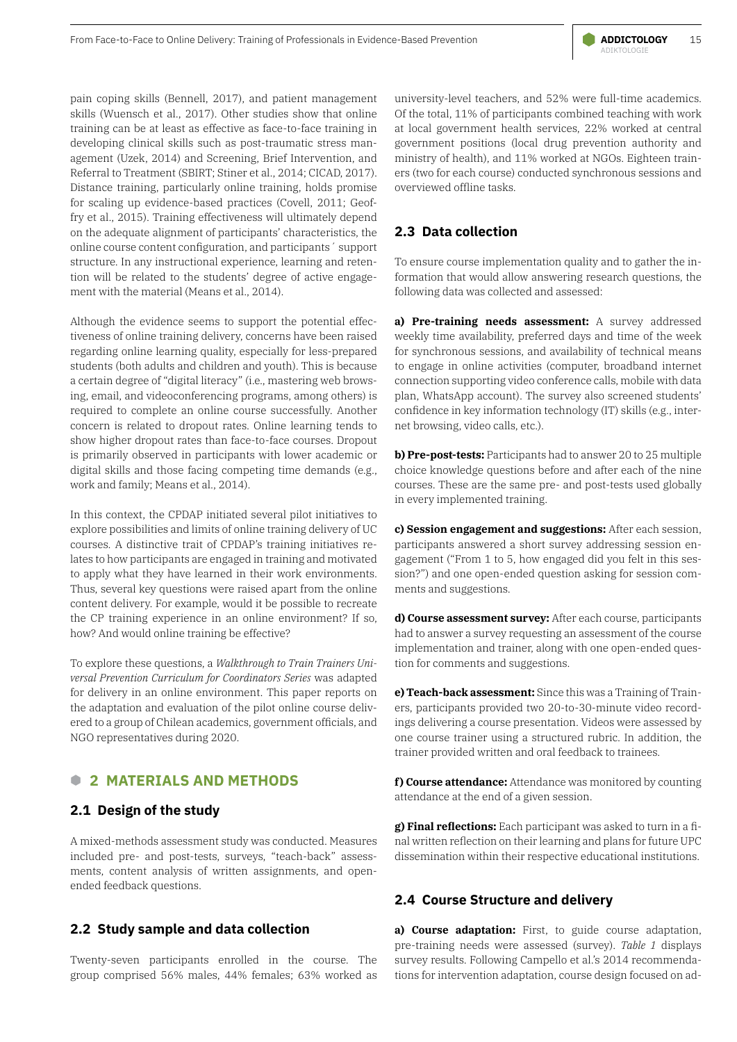pain coping skills (Bennell, 2017), and patient management skills (Wuensch et al., 2017). Other studies show that online training can be at least as effective as face-to-face training in developing clinical skills such as post-traumatic stress management (Uzek, 2014) and Screening, Brief Intervention, and Referral to Treatment (SBIRT; Stiner et al., 2014; CICAD, 2017). Distance training, particularly online training, holds promise for scaling up evidence-based practices (Covell, 2011; Geoffry et al., 2015). Training effectiveness will ultimately depend on the adequate alignment of participants' characteristics, the online course content configuration, and participants´ support structure. In any instructional experience, learning and retention will be related to the students' degree of active engagement with the material (Means et al., 2014).

Although the evidence seems to support the potential effectiveness of online training delivery, concerns have been raised regarding online learning quality, especially for less-prepared students (both adults and children and youth). This is because a certain degree of "digital literacy" (i.e., mastering web browsing, email, and videoconferencing programs, among others) is required to complete an online course successfully. Another concern is related to dropout rates. Online learning tends to show higher dropout rates than face-to-face courses. Dropout is primarily observed in participants with lower academic or digital skills and those facing competing time demands (e.g., work and family; Means et al., 2014).

In this context, the CPDAP initiated several pilot initiatives to explore possibilities and limits of online training delivery of UC courses. A distinctive trait of CPDAP's training initiatives relates to how participants are engaged in training and motivated to apply what they have learned in their work environments. Thus, several key questions were raised apart from the online content delivery. For example, would it be possible to recreate the CP training experience in an online environment? If so, how? And would online training be effective?

To explore these questions, a *Walkthrough to Train Trainers Universal Prevention Curriculum for Coordinators Series* was adapted for delivery in an online environment. This paper reports on the adaptation and evaluation of the pilot online course delivered to a group of Chilean academics, government officials, and NGO representatives during 2020.

#### **B 2 MATERIALS AND METHODS**

#### **2.1 Design of the study**

A mixed-methods assessment study was conducted. Measures included pre- and post-tests, surveys, "teach-back" assessments, content analysis of written assignments, and openended feedback questions.

#### **2.2 Study sample and data collection**

Twenty-seven participants enrolled in the course. The group comprised 56% males, 44% females; 63% worked as university-level teachers, and 52% were full-time academics. Of the total, 11% of participants combined teaching with work at local government health services, 22% worked at central government positions (local drug prevention authority and ministry of health), and 11% worked at NGOs. Eighteen trainers (two for each course) conducted synchronous sessions and overviewed offline tasks.

### **2.3 Data collection**

To ensure course implementation quality and to gather the information that would allow answering research questions, the following data was collected and assessed:

**a) Pre-training needs assessment:** A survey addressed weekly time availability, preferred days and time of the week for synchronous sessions, and availability of technical means to engage in online activities (computer, broadband internet connection supporting video conference calls, mobile with data plan, WhatsApp account). The survey also screened students' confidence in key information technology (IT) skills (e.g., internet browsing, video calls, etc.).

**b) Pre-post-tests:** Participants had to answer 20 to 25 multiple choice knowledge questions before and after each of the nine courses. These are the same pre- and post-tests used globally in every implemented training.

**c) Session engagement and suggestions:** After each session, participants answered a short survey addressing session engagement ("From 1 to 5, how engaged did you felt in this session?") and one open-ended question asking for session comments and suggestions.

**d) Course assessment survey:** After each course, participants had to answer a survey requesting an assessment of the course implementation and trainer, along with one open-ended question for comments and suggestions.

**e) Teach-back assessment:** Since this was a Training of Trainers, participants provided two 20-to-30-minute video recordings delivering a course presentation. Videos were assessed by one course trainer using a structured rubric. In addition, the trainer provided written and oral feedback to trainees.

**f) Course attendance:** Attendance was monitored by counting attendance at the end of a given session.

**g) Final reflections:** Each participant was asked to turn in a final written reflection on their learning and plans for future UPC dissemination within their respective educational institutions.

#### **2.4 Course Structure and delivery**

**a) Course adaptation:** First, to guide course adaptation, pre-training needs were assessed (survey). *Table 1* displays survey results. Following Campello et al.'s 2014 recommendations for intervention adaptation, course design focused on ad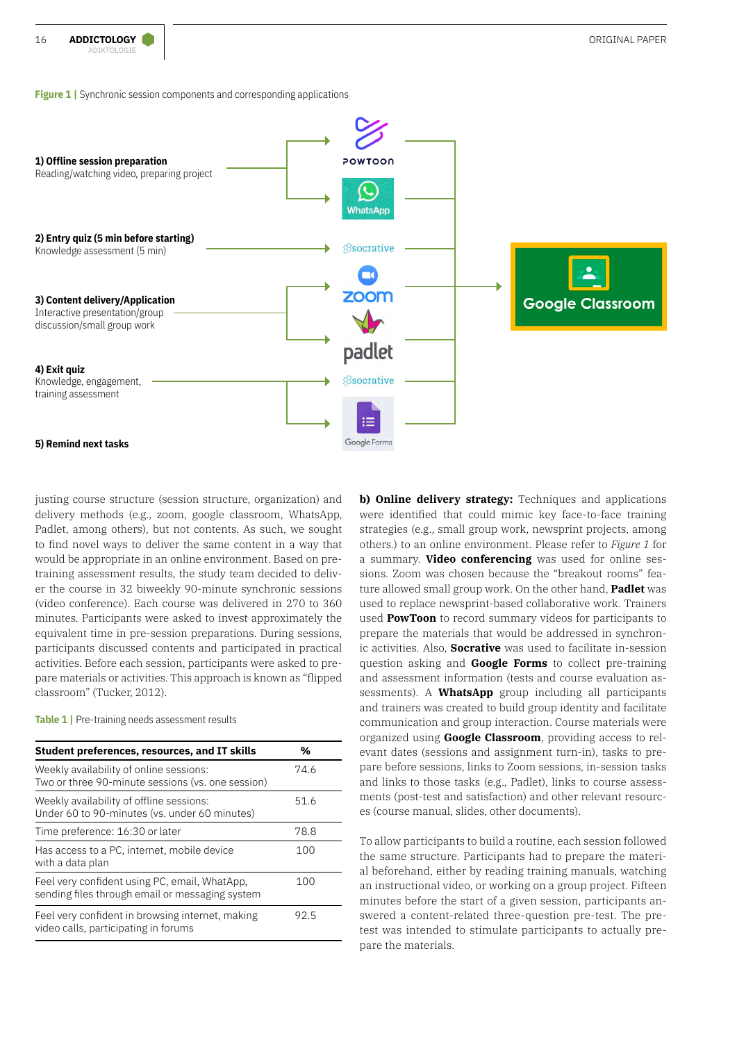**Figure 1** Synchronic session components and corresponding applications



justing course structure (session structure, organization) and delivery methods (e.g., zoom, google classroom, WhatsApp, Padlet, among others), but not contents. As such, we sought to find novel ways to deliver the same content in a way that would be appropriate in an online environment. Based on pretraining assessment results, the study team decided to deliver the course in 32 biweekly 90-minute synchronic sessions (video conference). Each course was delivered in 270 to 360 minutes. Participants were asked to invest approximately the equivalent time in pre-session preparations. During sessions, participants discussed contents and participated in practical activities. Before each session, participants were asked to prepare materials or activities. This approach is known as "flipped classroom" (Tucker, 2012).

**Table 1** | Pre-training needs assessment results

| Student preferences, resources, and IT skills                                                    | %    |
|--------------------------------------------------------------------------------------------------|------|
| Weekly availability of online sessions:<br>Two or three 90-minute sessions (vs. one session)     | 74.6 |
| Weekly availability of offline sessions:<br>Under 60 to 90-minutes (vs. under 60 minutes)        | 51.6 |
| Time preference: 16:30 or later                                                                  | 78.8 |
| Has access to a PC, internet, mobile device<br>with a data plan                                  | 100  |
| Feel very confident using PC, email, WhatApp,<br>sending files through email or messaging system | 100  |
| Feel very confident in browsing internet, making<br>video calls, participating in forums         | 92.5 |
|                                                                                                  |      |

**b) Online delivery strategy:** Techniques and applications were identified that could mimic key face-to-face training strategies (e.g., small group work, newsprint projects, among others.) to an online environment. Please refer to *Figure 1* for a summary. **Video conferencing** was used for online sessions. Zoom was chosen because the "breakout rooms" feature allowed small group work. On the other hand, **Padlet** was used to replace newsprint-based collaborative work. Trainers used **PowToon** to record summary videos for participants to prepare the materials that would be addressed in synchronic activities. Also, **Socrative** was used to facilitate in-session question asking and **Google Forms** to collect pre-training and assessment information (tests and course evaluation assessments). A **WhatsApp** group including all participants and trainers was created to build group identity and facilitate communication and group interaction. Course materials were organized using **Google Classroom**, providing access to relevant dates (sessions and assignment turn-in), tasks to prepare before sessions, links to Zoom sessions, in-session tasks and links to those tasks (e.g., Padlet), links to course assessments (post-test and satisfaction) and other relevant resources (course manual, slides, other documents).

To allow participants to build a routine, each session followed the same structure. Participants had to prepare the material beforehand, either by reading training manuals, watching an instructional video, or working on a group project. Fifteen minutes before the start of a given session, participants answered a content-related three-question pre-test. The pretest was intended to stimulate participants to actually prepare the materials.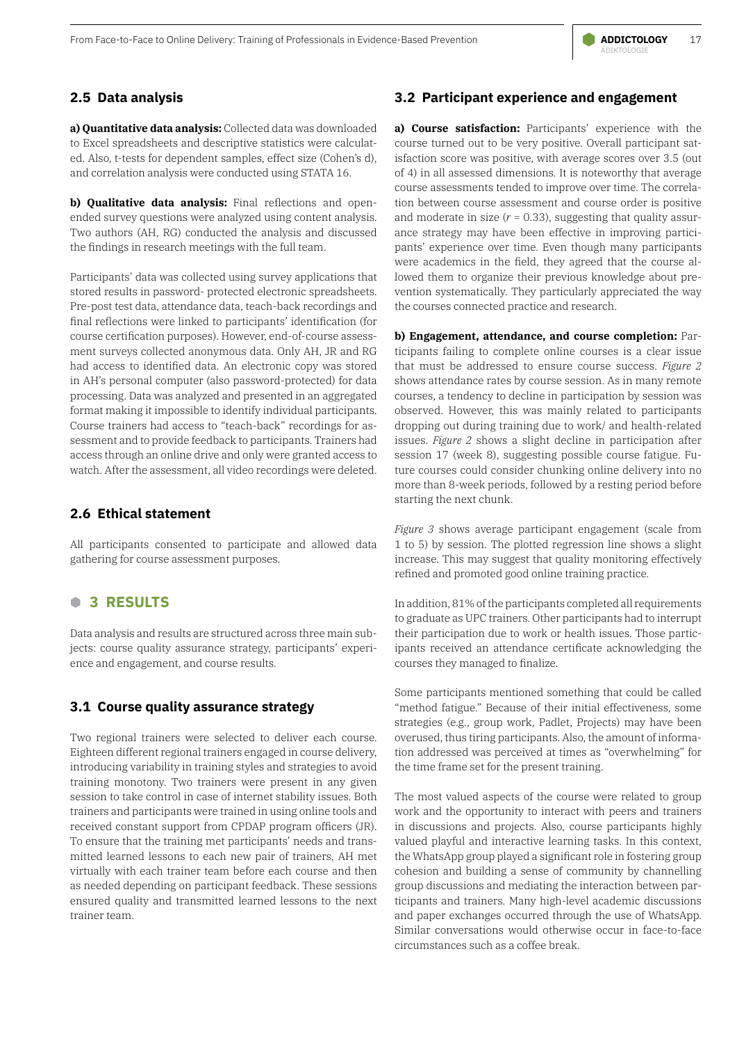## **2.5 Data analysis**

**a) Quantitative data analysis:** Collected data was downloaded to Excel spreadsheets and descriptive statistics were calculated. Also, t-tests for dependent samples, effect size (Cohen's d), and correlation analysis were conducted using STATA 16.

**b) Qualitative data analysis:** Final reflections and openended survey questions were analyzed using content analysis. Two authors (AH, RG) conducted the analysis and discussed the findings in research meetings with the full team.

Participants' data was collected using survey applications that stored results in password- protected electronic spreadsheets. Pre-post test data, attendance data, teach-back recordings and final reflections were linked to participants' identification (for course certification purposes). However, end-of-course assessment surveys collected anonymous data. Only AH, JR and RG had access to identified data. An electronic copy was stored in AH's personal computer (also password-protected) for data processing. Data was analyzed and presented in an aggregated format making it impossible to identify individual participants. Course trainers had access to "teach-back" recordings for assessment and to provide feedback to participants. Trainers had access through an online drive and only were granted access to watch. After the assessment, all video recordings were deleted.

#### **2.6 Ethical statement**

All participants consented to participate and allowed data gathering for course assessment purposes.

## **B 3 RESULTS**

Data analysis and results are structured across three main subjects: course quality assurance strategy, participants' experience and engagement, and course results.

#### **3.1 Course quality assurance strategy**

Two regional trainers were selected to deliver each course. Eighteen different regional trainers engaged in course delivery, introducing variability in training styles and strategies to avoid training monotony. Two trainers were present in any given session to take control in case of internet stability issues. Both trainers and participants were trained in using online tools and received constant support from CPDAP program officers (JR). To ensure that the training met participants' needs and transmitted learned lessons to each new pair of trainers, AH met virtually with each trainer team before each course and then as needed depending on participant feedback. These sessions ensured quality and transmitted learned lessons to the next trainer team.

### **3.2 Participant experience and engagement**

**a) Course satisfaction:** Participants' experience with the course turned out to be very positive. Overall participant satisfaction score was positive, with average scores over 3.5 (out of 4) in all assessed dimensions. It is noteworthy that average course assessments tended to improve over time. The correlation between course assessment and course order is positive and moderate in size  $(r = 0.33)$ , suggesting that quality assurance strategy may have been effective in improving participants' experience over time. Even though many participants were academics in the field, they agreed that the course allowed them to organize their previous knowledge about prevention systematically. They particularly appreciated the way the courses connected practice and research.

**b) Engagement, attendance, and course completion:** Participants failing to complete online courses is a clear issue that must be addressed to ensure course success. *Figure 2* shows attendance rates by course session. As in many remote courses, a tendency to decline in participation by session was observed. However, this was mainly related to participants dropping out during training due to work/ and health-related issues. *Figure 2* shows a slight decline in participation after session 17 (week 8), suggesting possible course fatigue. Future courses could consider chunking online delivery into no more than 8-week periods, followed by a resting period before starting the next chunk.

*Figure 3* shows average participant engagement (scale from 1 to 5) by session. The plotted regression line shows a slight increase. This may suggest that quality monitoring effectively refined and promoted good online training practice.

In addition, 81% of the participants completed all requirements to graduate as UPC trainers. Other participants had to interrupt their participation due to work or health issues. Those participants received an attendance certificate acknowledging the courses they managed to finalize.

Some participants mentioned something that could be called "method fatigue." Because of their initial effectiveness, some strategies (e.g., group work, Padlet, Projects) may have been overused, thus tiring participants. Also, the amount of information addressed was perceived at times as "overwhelming" for the time frame set for the present training.

The most valued aspects of the course were related to group work and the opportunity to interact with peers and trainers in discussions and projects. Also, course participants highly valued playful and interactive learning tasks. In this context, the WhatsApp group played a significant role in fostering group cohesion and building a sense of community by channelling group discussions and mediating the interaction between participants and trainers. Many high-level academic discussions and paper exchanges occurred through the use of WhatsApp. Similar conversations would otherwise occur in face-to-face circumstances such as a coffee break.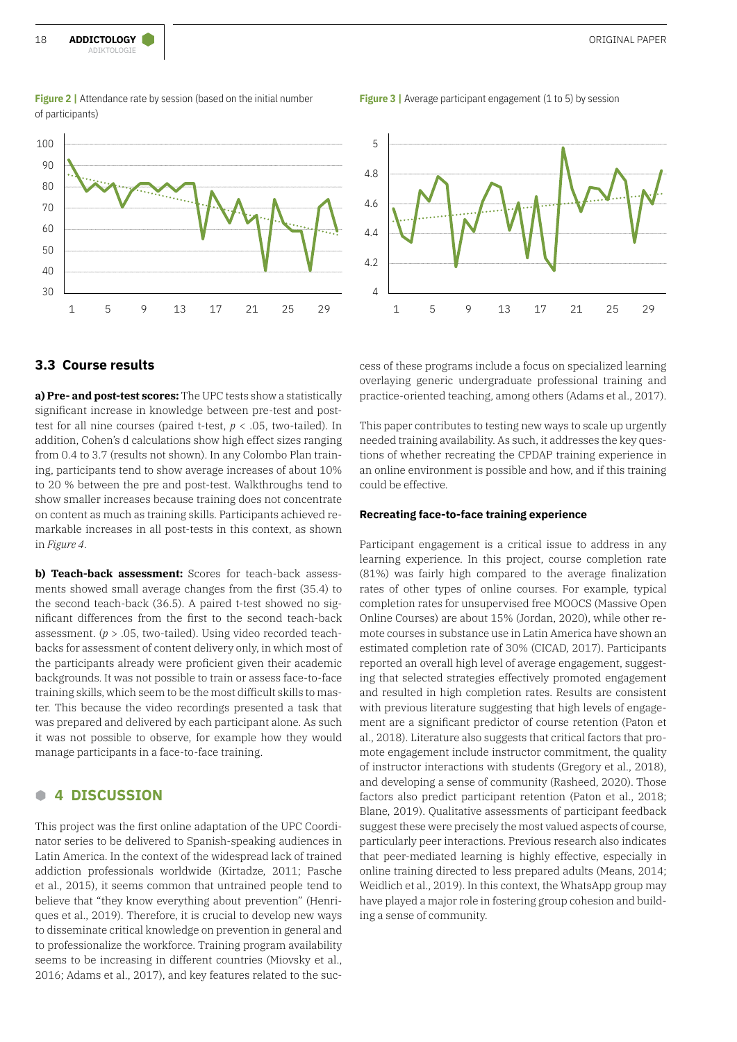

#### **Figure 2** | Attendance rate by session (based on the initial number of participants)

**Figure 3** | Average participant engagement (1 to 5) by session



#### **3.3 Course results**

**a) Pre- and post-test scores:** The UPC tests show a statistically significant increase in knowledge between pre-test and posttest for all nine courses (paired t-test, *p* < .05, two-tailed). In addition, Cohen's d calculations show high effect sizes ranging from 0.4 to 3.7 (results not shown). In any Colombo Plan training, participants tend to show average increases of about 10% to 20 % between the pre and post-test. Walkthroughs tend to show smaller increases because training does not concentrate on content as much as training skills. Participants achieved remarkable increases in all post-tests in this context, as shown in *Figure 4*.

**b) Teach-back assessment:** Scores for teach-back assessments showed small average changes from the first (35.4) to the second teach-back (36.5). A paired t-test showed no significant differences from the first to the second teach-back assessment. (*p* > .05, two-tailed). Using video recorded teachbacks for assessment of content delivery only, in which most of the participants already were proficient given their academic backgrounds. It was not possible to train or assess face-to-face training skills, which seem to be the most difficult skills to master. This because the video recordings presented a task that was prepared and delivered by each participant alone. As such it was not possible to observe, for example how they would manage participants in a face-to-face training.

#### **B 4 DISCUSSION**

This project was the first online adaptation of the UPC Coordinator series to be delivered to Spanish-speaking audiences in Latin America. In the context of the widespread lack of trained addiction professionals worldwide (Kirtadze, 2011; Pasche et al., 2015), it seems common that untrained people tend to believe that "they know everything about prevention" (Henriques et al., 2019). Therefore, it is crucial to develop new ways to disseminate critical knowledge on prevention in general and to professionalize the workforce. Training program availability seems to be increasing in different countries (Miovsky et al., 2016; Adams et al., 2017), and key features related to the success of these programs include a focus on specialized learning overlaying generic undergraduate professional training and practice-oriented teaching, among others (Adams et al., 2017).

This paper contributes to testing new ways to scale up urgently needed training availability. As such, it addresses the key questions of whether recreating the CPDAP training experience in an online environment is possible and how, and if this training could be effective.

#### **Recreating face-to-face training experience**

Participant engagement is a critical issue to address in any learning experience. In this project, course completion rate (81%) was fairly high compared to the average finalization rates of other types of online courses. For example, typical completion rates for unsupervised free MOOCS (Massive Open Online Courses) are about 15% (Jordan, 2020), while other remote courses in substance use in Latin America have shown an estimated completion rate of 30% (CICAD, 2017). Participants reported an overall high level of average engagement, suggesting that selected strategies effectively promoted engagement and resulted in high completion rates. Results are consistent with previous literature suggesting that high levels of engagement are a significant predictor of course retention (Paton et al., 2018). Literature also suggests that critical factors that promote engagement include instructor commitment, the quality of instructor interactions with students (Gregory et al., 2018), and developing a sense of community (Rasheed, 2020). Those factors also predict participant retention (Paton et al., 2018; Blane, 2019). Qualitative assessments of participant feedback suggest these were precisely the most valued aspects of course, particularly peer interactions. Previous research also indicates that peer-mediated learning is highly effective, especially in online training directed to less prepared adults (Means, 2014; Weidlich et al., 2019). In this context, the WhatsApp group may have played a major role in fostering group cohesion and building a sense of community.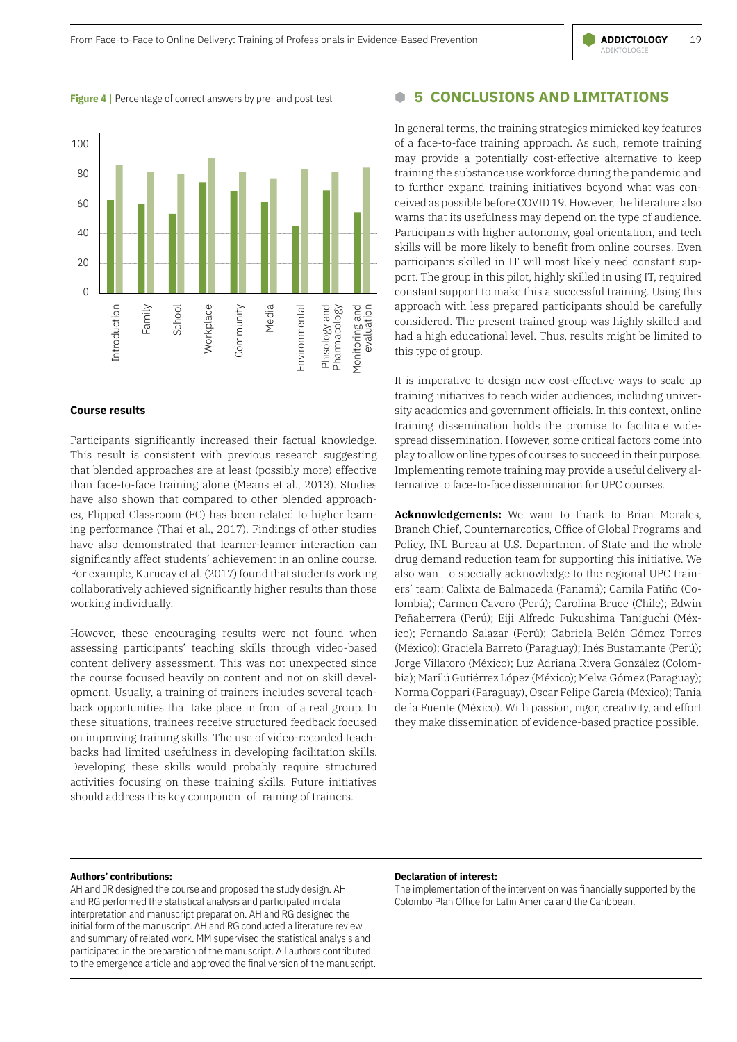#### **Figure 4 |** Percentage of correct answers by pre- and post-test



#### **Course results**

Participants significantly increased their factual knowledge. This result is consistent with previous research suggesting that blended approaches are at least (possibly more) effective than face-to-face training alone (Means et al., 2013). Studies have also shown that compared to other blended approaches, Flipped Classroom (FC) has been related to higher learning performance (Thai et al., 2017). Findings of other studies have also demonstrated that learner-learner interaction can significantly affect students' achievement in an online course. For example, Kurucay et al. (2017) found that students working collaboratively achieved significantly higher results than those working individually.

However, these encouraging results were not found when assessing participants' teaching skills through video-based content delivery assessment. This was not unexpected since the course focused heavily on content and not on skill development. Usually, a training of trainers includes several teachback opportunities that take place in front of a real group. In these situations, trainees receive structured feedback focused on improving training skills. The use of video-recorded teachbacks had limited usefulness in developing facilitation skills. Developing these skills would probably require structured activities focusing on these training skills. Future initiatives should address this key component of training of trainers.

#### **B 5 CONCLUSIONS AND LIMITATIONS**

In general terms, the training strategies mimicked key features of a face-to-face training approach. As such, remote training may provide a potentially cost-effective alternative to keep training the substance use workforce during the pandemic and to further expand training initiatives beyond what was conceived as possible before COVID 19. However, the literature also warns that its usefulness may depend on the type of audience. Participants with higher autonomy, goal orientation, and tech skills will be more likely to benefit from online courses. Even participants skilled in IT will most likely need constant support. The group in this pilot, highly skilled in using IT, required constant support to make this a successful training. Using this approach with less prepared participants should be carefully considered. The present trained group was highly skilled and had a high educational level. Thus, results might be limited to this type of group.

It is imperative to design new cost-effective ways to scale up training initiatives to reach wider audiences, including university academics and government officials. In this context, online training dissemination holds the promise to facilitate widespread dissemination. However, some critical factors come into play to allow online types of courses to succeed in their purpose. Implementing remote training may provide a useful delivery alternative to face-to-face dissemination for UPC courses.

**Acknowledgements:** We want to thank to Brian Morales, Branch Chief, Counternarcotics, Office of Global Programs and Policy, INL Bureau at U.S. Department of State and the whole drug demand reduction team for supporting this initiative. We also want to specially acknowledge to the regional UPC trainers' team: Calixta de Balmaceda (Panamá); Camila Patiño (Colombia); Carmen Cavero (Perú); Carolina Bruce (Chile); Edwin Peñaherrera (Perú); Eiji Alfredo Fukushima Taniguchi (México); Fernando Salazar (Perú); Gabriela Belén Gómez Torres (México); Graciela Barreto (Paraguay); Inés Bustamante (Perú); Jorge Villatoro (México); Luz Adriana Rivera González (Colombia); Marilú Gutiérrez López (México); Melva Gómez (Paraguay); Norma Coppari (Paraguay), Oscar Felipe García (México); Tania de la Fuente (México). With passion, rigor, creativity, and effort they make dissemination of evidence-based practice possible.

#### **Authors' contributions:**

AH and JR designed the course and proposed the study design. AH and RG performed the statistical analysis and participated in data interpretation and manuscript preparation. AH and RG designed the initial form of the manuscript. AH and RG conducted a literature review and summary of related work. MM supervised the statistical analysis and participated in the preparation of the manuscript. All authors contributed to the emergence article and approved the final version of the manuscript.

#### **Declaration of interest:**

The implementation of the intervention was financially supported by the Colombo Plan Office for Latin America and the Caribbean.